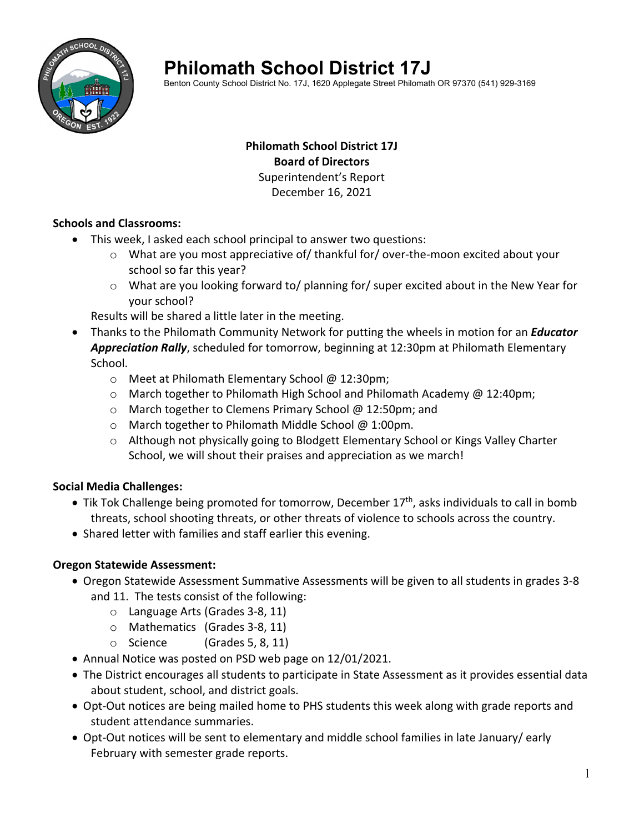

# **Philomath School District 17J**

Benton County School District No. 17J, 1620 Applegate Street Philomath OR 97370 (541) 929-3169

## **Philomath School District 17J Board of Directors** Superintendent's Report December 16, 2021

## **Schools and Classrooms:**

- This week, I asked each school principal to answer two questions:
	- o What are you most appreciative of/ thankful for/ over‐the‐moon excited about your school so far this year?
	- $\circ$  What are you looking forward to/ planning for/ super excited about in the New Year for your school?

Results will be shared a little later in the meeting.

- Thanks to the Philomath Community Network for putting the wheels in motion for an *Educator Appreciation Rally*, scheduled for tomorrow, beginning at 12:30pm at Philomath Elementary School.
	- o Meet at Philomath Elementary School @ 12:30pm;
	- $\circ$  March together to Philomath High School and Philomath Academy @ 12:40pm;
	- o March together to Clemens Primary School @ 12:50pm; and
	- o March together to Philomath Middle School @ 1:00pm.
	- $\circ$  Although not physically going to Blodgett Elementary School or Kings Valley Charter School, we will shout their praises and appreciation as we march!

## **Social Media Challenges:**

- Tik Tok Challenge being promoted for tomorrow, December 17<sup>th</sup>, asks individuals to call in bomb threats, school shooting threats, or other threats of violence to schools across the country.
- Shared letter with families and staff earlier this evening.

## **Oregon Statewide Assessment:**

- Oregon Statewide Assessment Summative Assessments will be given to all students in grades 3‐8 and 11. The tests consist of the following:
	- o Language Arts (Grades 3‐8, 11)
	- o Mathematics (Grades 3‐8, 11)
	- $\circ$  Science (Grades 5, 8, 11)
- Annual Notice was posted on PSD web page on 12/01/2021.
- The District encourages all students to participate in State Assessment as it provides essential data about student, school, and district goals.
- Opt-Out notices are being mailed home to PHS students this week along with grade reports and student attendance summaries.
- Opt-Out notices will be sent to elementary and middle school families in late January/ early February with semester grade reports.